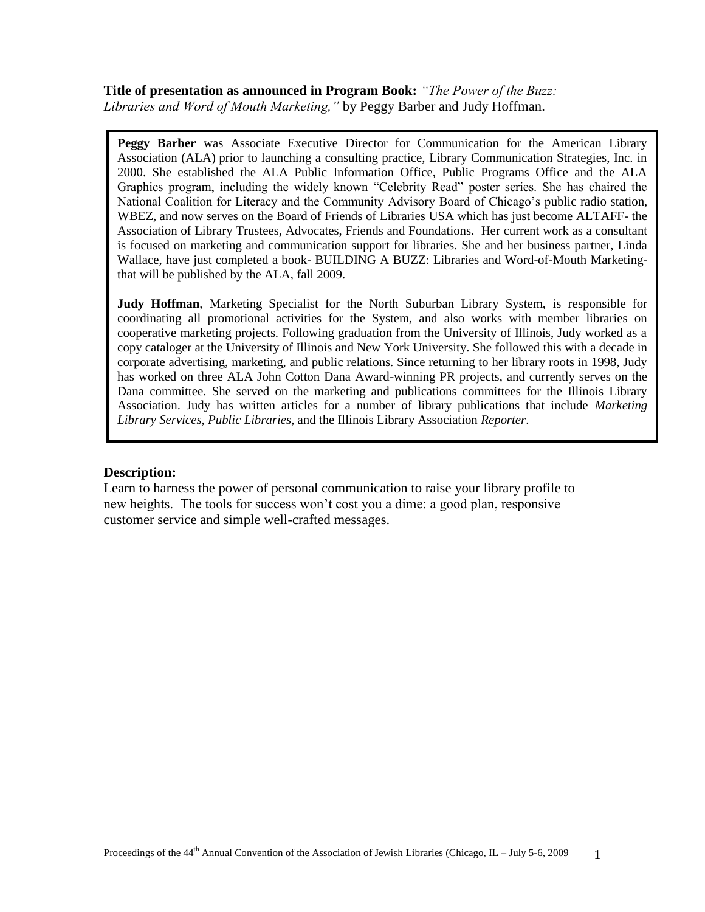**Title of presentation as announced in Program Book:** *"The Power of the Buzz: Libraries and Word of Mouth Marketing,"* by Peggy Barber and Judy Hoffman.

**Peggy Barber** was Associate Executive Director for Communication for the American Library Association (ALA) prior to launching a consulting practice, Library Communication Strategies, Inc. in 2000. She established the ALA Public Information Office, Public Programs Office and the ALA Graphics program, including the widely known "Celebrity Read" poster series. She has chaired the National Coalition for Literacy and the Community Advisory Board of Chicago's public radio station, WBEZ, and now serves on the Board of Friends of Libraries USA which has just become ALTAFF- the Association of Library Trustees, Advocates, Friends and Foundations. Her current work as a consultant is focused on marketing and communication support for libraries. She and her business partner, Linda Wallace, have just completed a book- BUILDING A BUZZ: Libraries and Word-of-Mouth Marketingthat will be published by the ALA, fall 2009.

**Judy Hoffman**, Marketing Specialist for the North Suburban Library System, is responsible for coordinating all promotional activities for the System, and also works with member libraries on cooperative marketing projects. Following graduation from the University of Illinois, Judy worked as a copy cataloger at the University of Illinois and New York University. She followed this with a decade in corporate advertising, marketing, and public relations. Since returning to her library roots in 1998, Judy has worked on three ALA John Cotton Dana Award-winning PR projects, and currently serves on the Dana committee. She served on the marketing and publications committees for the Illinois Library Association. Judy has written articles for a number of library publications that include *Marketing Library Services*, *Public Libraries*, and the Illinois Library Association *Reporter*.

#### **Description:**

Learn to harness the power of personal communication to raise your library profile to new heights. The tools for success won't cost you a dime: a good plan, responsive customer service and simple well-crafted messages.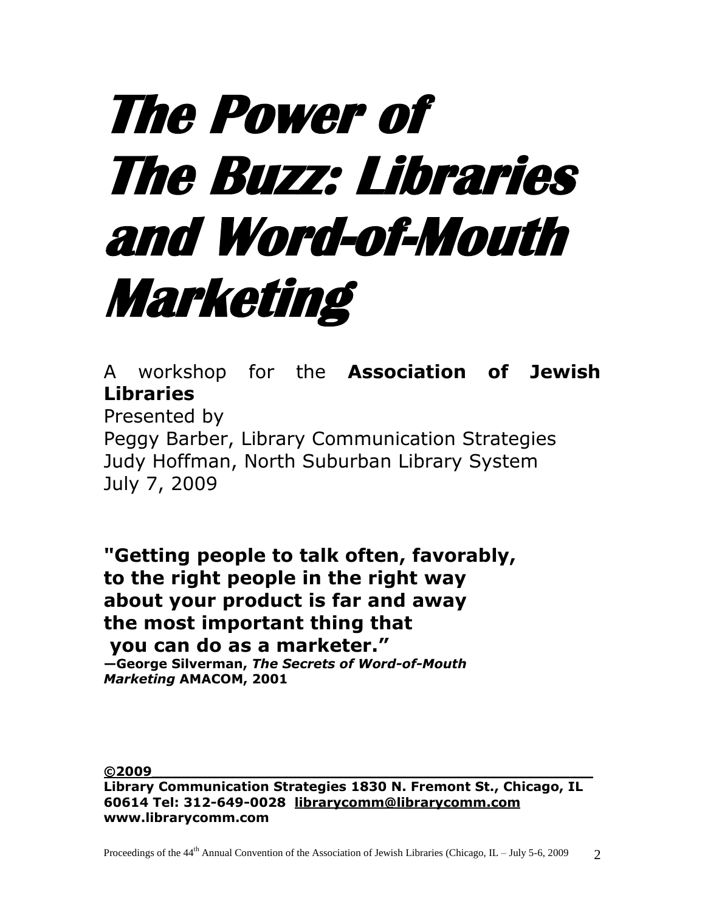# **The Power of The Buzz: Libraries and Word-of-Mouth Marketing**

A workshop for the **Association of Jewish Libraries** 

Presented by Peggy Barber, Library Communication Strategies Judy Hoffman, North Suburban Library System July 7, 2009

**"Getting people to talk often, favorably, to the right people in the right way about your product is far and away the most important thing that you can do as a marketer."**

**—George Silverman,** *The Secrets of Word-of-Mouth Marketing* **AMACOM, 2001**

**©2009\_\_\_\_\_\_\_\_\_\_\_\_\_\_\_\_\_\_\_\_\_\_\_\_\_\_\_\_\_\_\_\_\_\_\_\_\_\_\_\_\_\_\_\_\_\_\_\_\_**

**Library Communication Strategies 1830 N. Fremont St., Chicago, IL 60614 Tel: 312-649-0028 librar[ycomm@librarycomm.com](mailto:comm@librarycomm.com) [www.librarycomm.com](http://www.librarycomm.com/)**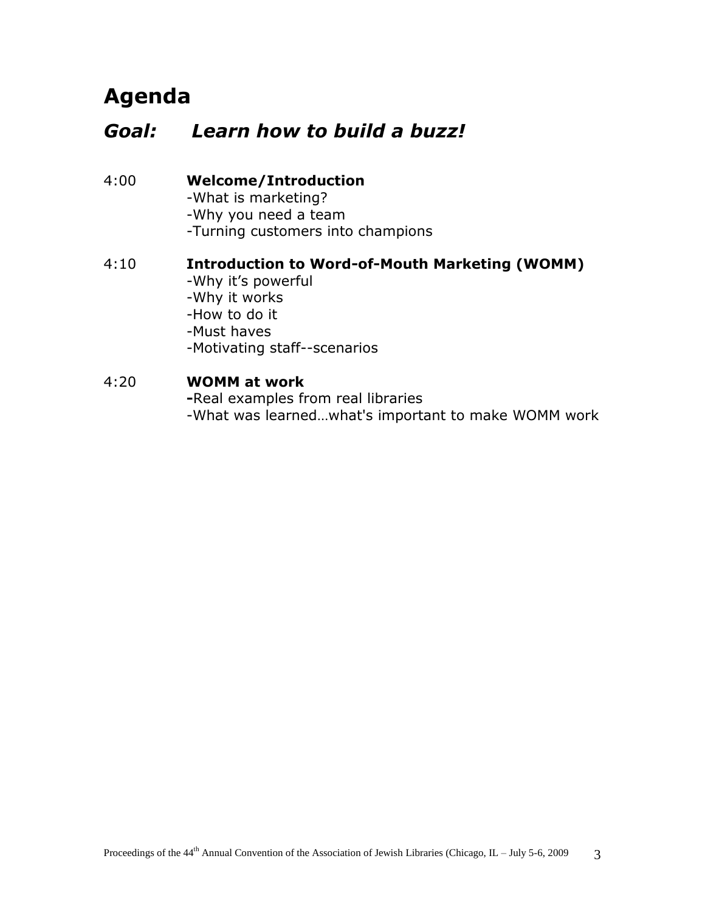# **Agenda**

#### *Goal: Learn how to build a buzz!*

4:00 **Welcome/Introduction** -What is marketing? -Why you need a team -Turning customers into champions

#### 4:10 **Introduction to Word-of-Mouth Marketing (WOMM)** -Why it's powerful -Why it works -How to do it -Must haves -Motivating staff--scenarios

#### 4:20 **WOMM at work**

**-**Real examples from real libraries -What was learned…what's important to make WOMM work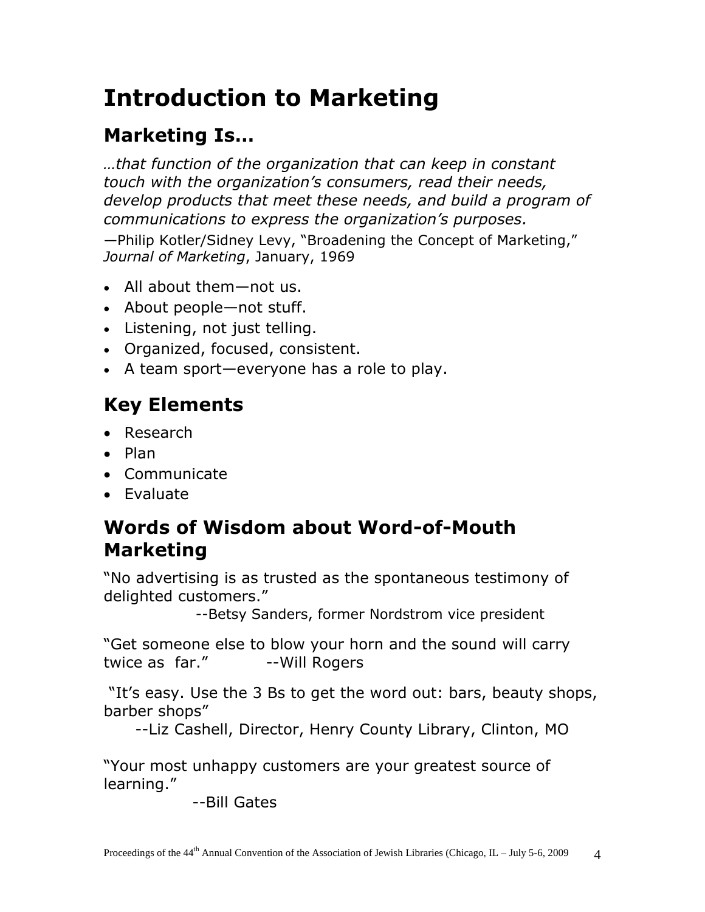# **Introduction to Marketing**

# **Marketing Is…**

*…that function of the organization that can keep in constant touch with the organization's consumers, read their needs, develop products that meet these needs, and build a program of communications to express the organization's purposes.*

—Philip Kotler/Sidney Levy, "Broadening the Concept of Marketing," *Journal of Marketing*, January, 1969

- All about them—not us.
- About people—not stuff.
- Listening, not just telling.
- Organized, focused, consistent.
- A team sport—everyone has a role to play.

# **Key Elements**

- Research
- $\bullet$  Plan
- Communicate
- Evaluate

## **Words of Wisdom about Word-of-Mouth Marketing**

"No advertising is as trusted as the spontaneous testimony of delighted customers."

--Betsy Sanders, former Nordstrom vice president

"Get someone else to blow your horn and the sound will carry twice as far." --Will Rogers

"It's easy. Use the 3 Bs to get the word out: bars, beauty shops, barber shops"

--Liz Cashell, Director, Henry County Library, Clinton, MO

"Your most unhappy customers are your greatest source of learning."

--Bill Gates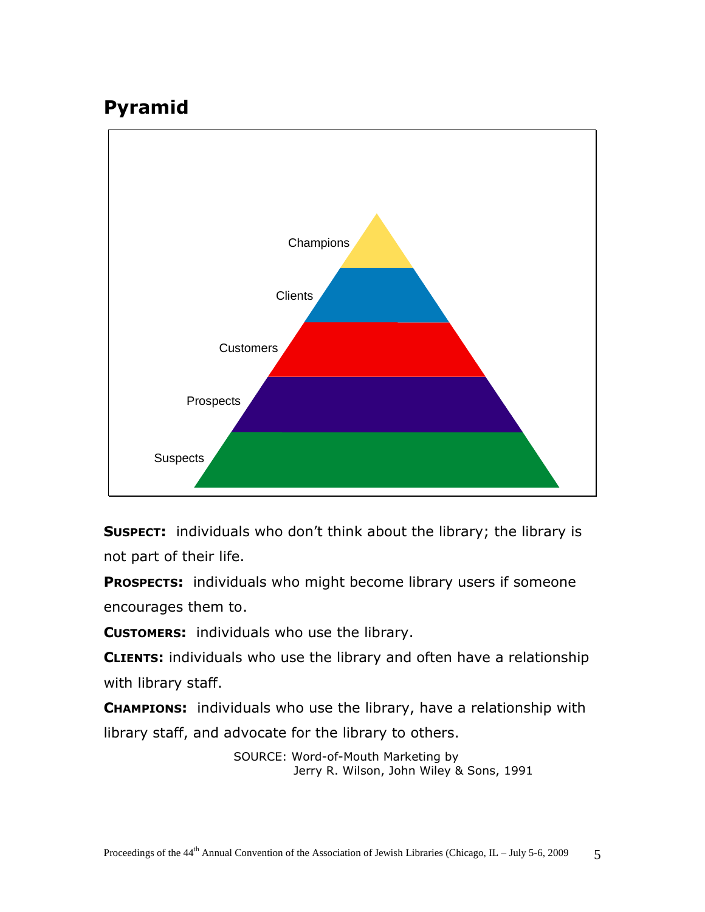# **Pyramid**



**SUSPECT:** individuals who don't think about the library; the library is not part of their life.

**PROSPECTS:** individuals who might become library users if someone encourages them to.

**CUSTOMERS:** individuals who use the library.

**CLIENTS:** individuals who use the library and often have a relationship with library staff.

**CHAMPIONS:** individuals who use the library, have a relationship with library staff, and advocate for the library to others.

> SOURCE: Word-of-Mouth Marketing by Jerry R. Wilson, John Wiley & Sons, 1991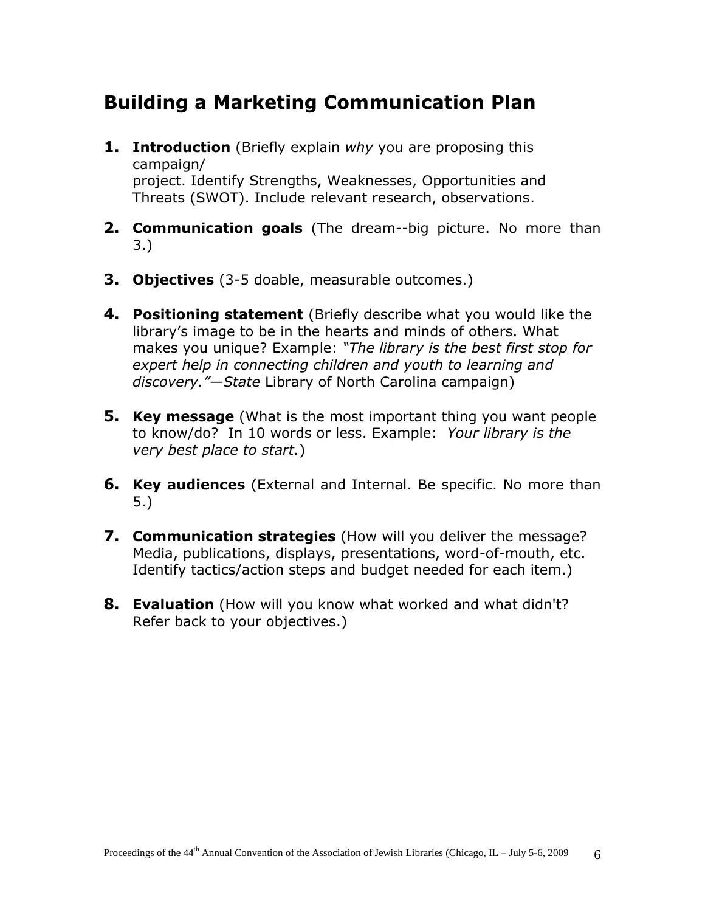#### **Building a Marketing Communication Plan**

- **1. Introduction** (Briefly explain *why* you are proposing this campaign/ project. Identify Strengths, Weaknesses, Opportunities and Threats (SWOT). Include relevant research, observations.
- **2. Communication goals** (The dream--big picture. No more than 3.)
- **3. Objectives** (3-5 doable, measurable outcomes.)
- **4. Positioning statement** (Briefly describe what you would like the library's image to be in the hearts and minds of others. What makes you unique? Example: *"The library is the best first stop for expert help in connecting children and youth to learning and discovery."—State* Library of North Carolina campaign)
- **5. Key message** (What is the most important thing you want people to know/do? In 10 words or less. Example: *Your library is the very best place to start.*)
- **6. Key audiences** (External and Internal. Be specific. No more than 5.)
- **7. Communication strategies** (How will you deliver the message? Media, publications, displays, presentations, word-of-mouth, etc. Identify tactics/action steps and budget needed for each item.)
- **8. Evaluation** (How will you know what worked and what didn't? Refer back to your objectives.)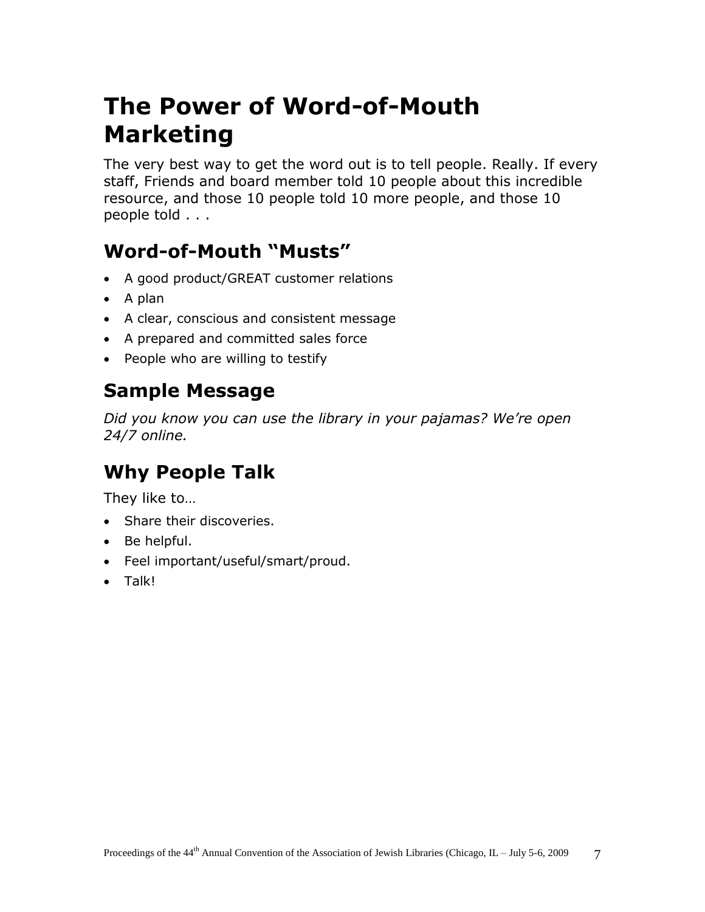# **The Power of Word-of-Mouth Marketing**

The very best way to get the word out is to tell people. Really. If every staff, Friends and board member told 10 people about this incredible resource, and those 10 people told 10 more people, and those 10 people told . . .

# **Word-of-Mouth "Musts"**

- A good product/GREAT customer relations
- $\bullet$  A plan
- A clear, conscious and consistent message
- A prepared and committed sales force
- People who are willing to testify

## **Sample Message**

*Did you know you can use the library in your pajamas? We're open 24/7 online.*

# **Why People Talk**

They like to…

- Share their discoveries.
- Be helpful.
- Feel important/useful/smart/proud.
- Talk!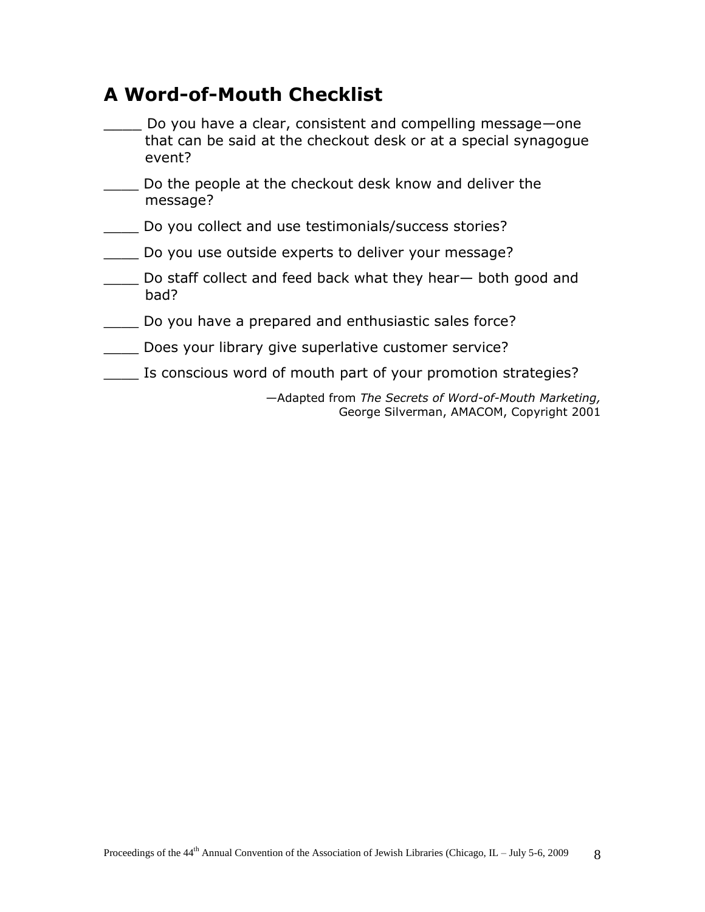#### **A Word-of-Mouth Checklist**

- Do you have a clear, consistent and compelling message—one that can be said at the checkout desk or at a special synagogue event?
- Do the people at the checkout desk know and deliver the message?
- \_\_\_\_ Do you collect and use testimonials/success stories?
- \_\_\_\_ Do you use outside experts to deliver your message?
- Do staff collect and feed back what they hear— both good and bad?
- \_\_\_\_ Do you have a prepared and enthusiastic sales force?
- \_\_\_\_ Does your library give superlative customer service?
- \_\_\_\_ Is conscious word of mouth part of your promotion strategies?

—Adapted from *The Secrets of Word-of-Mouth Marketing,* George Silverman, AMACOM, Copyright 2001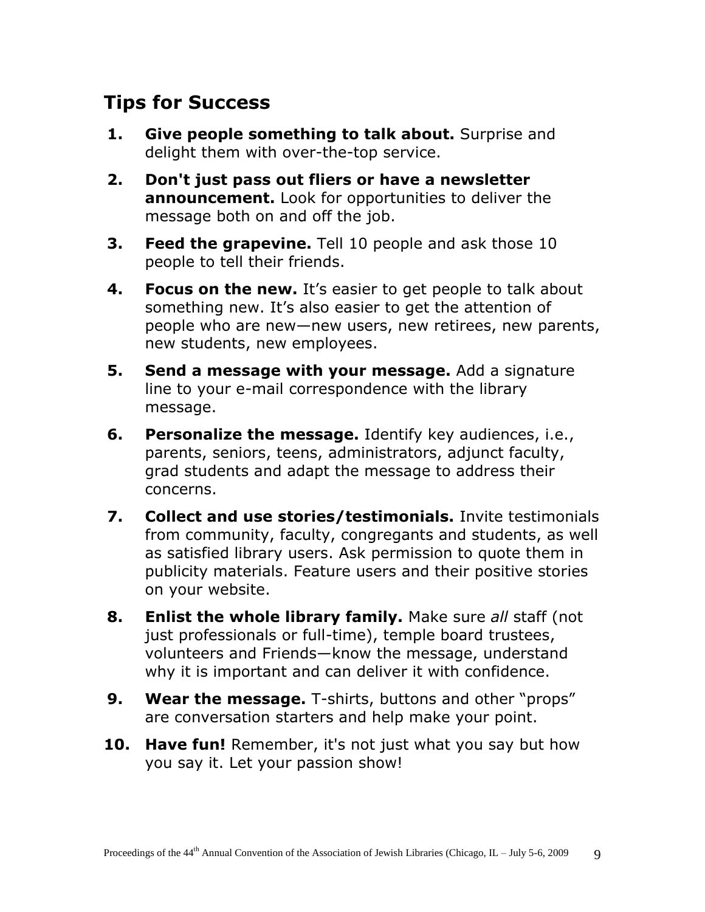## **Tips for Success**

- **1. Give people something to talk about.** Surprise and delight them with over-the-top service.
- **2. Don't just pass out fliers or have a newsletter announcement.** Look for opportunities to deliver the message both on and off the job.
- **3. Feed the grapevine.** Tell 10 people and ask those 10 people to tell their friends.
- **4. Focus on the new.** It's easier to get people to talk about something new. It's also easier to get the attention of people who are new—new users, new retirees, new parents, new students, new employees.
- **5. Send a message with your message.** Add a signature line to your e-mail correspondence with the library message.
- **6. Personalize the message.** Identify key audiences, i.e., parents, seniors, teens, administrators, adjunct faculty, grad students and adapt the message to address their concerns.
- **7. Collect and use stories/testimonials.** Invite testimonials from community, faculty, congregants and students, as well as satisfied library users. Ask permission to quote them in publicity materials. Feature users and their positive stories on your website.
- **8. Enlist the whole library family.** Make sure *all* staff (not just professionals or full-time), temple board trustees, volunteers and Friends—know the message, understand why it is important and can deliver it with confidence.
- **9. Wear the message.** T-shirts, buttons and other "props" are conversation starters and help make your point.
- **10. Have fun!** Remember, it's not just what you say but how you say it. Let your passion show!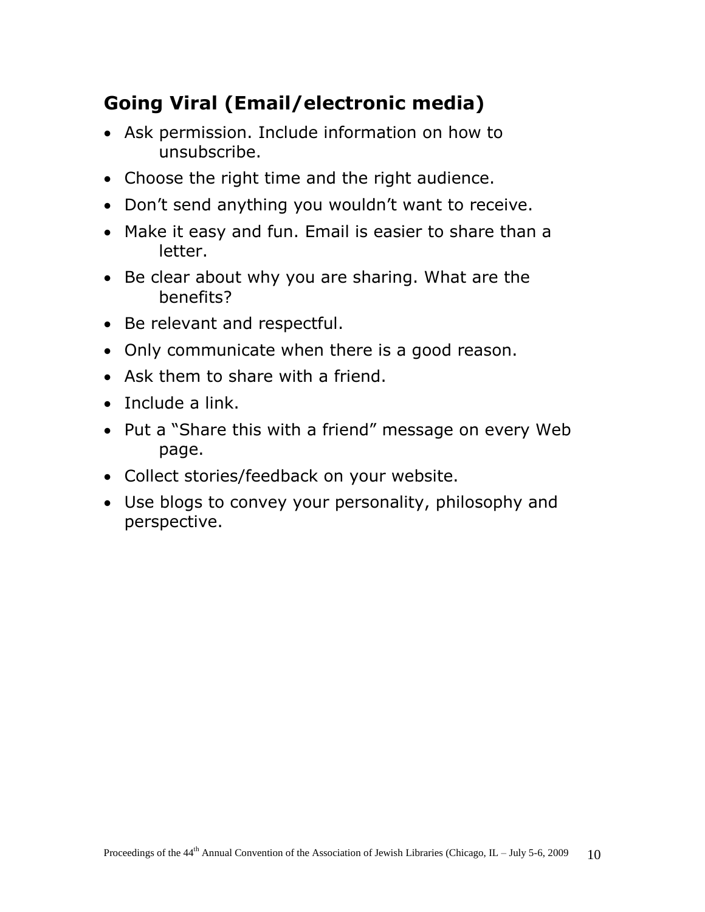# **Going Viral (Email/electronic media)**

- Ask permission. Include information on how to unsubscribe.
- Choose the right time and the right audience.
- Don't send anything you wouldn't want to receive.
- Make it easy and fun. Email is easier to share than a letter.
- Be clear about why you are sharing. What are the benefits?
- Be relevant and respectful.
- Only communicate when there is a good reason.
- Ask them to share with a friend.
- Include a link.
- Put a "Share this with a friend" message on every Web page.
- Collect stories/feedback on your website.
- Use blogs to convey your personality, philosophy and perspective.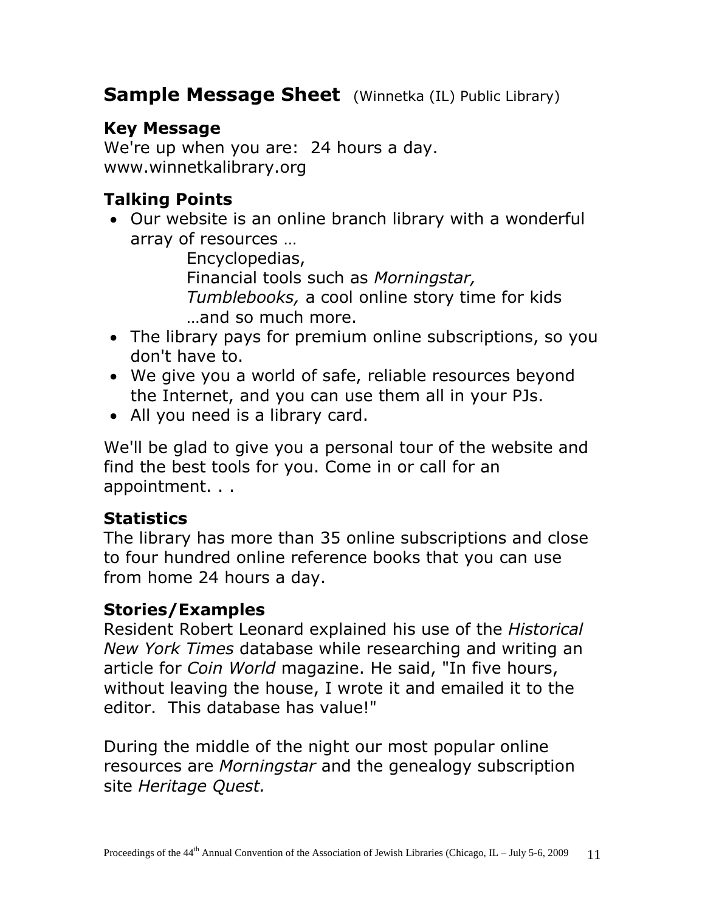#### **Sample Message Sheet** (Winnetka (IL) Public Library)

#### **Key Message**

We're up when you are: 24 hours a day. www.winnetkalibrary.org

#### **Talking Points**

 Our website is an online branch library with a wonderful array of resources …

Encyclopedias, Financial tools such as *Morningstar, Tumblebooks,* a cool online story time for kids …and so much more.

- The library pays for premium online subscriptions, so you don't have to.
- We give you a world of safe, reliable resources beyond the Internet, and you can use them all in your PJs.
- All you need is a library card.

We'll be glad to give you a personal tour of the website and find the best tools for you. Come in or call for an appointment. . .

#### **Statistics**

The library has more than 35 online subscriptions and close to four hundred online reference books that you can use from home 24 hours a day.

#### **Stories/Examples**

Resident Robert Leonard explained his use of the *Historical New York Times* database while researching and writing an article for *Coin World* magazine. He said, "In five hours, without leaving the house, I wrote it and emailed it to the editor. This database has value!"

During the middle of the night our most popular online resources are *Morningstar* and the genealogy subscription site *Heritage Quest.*